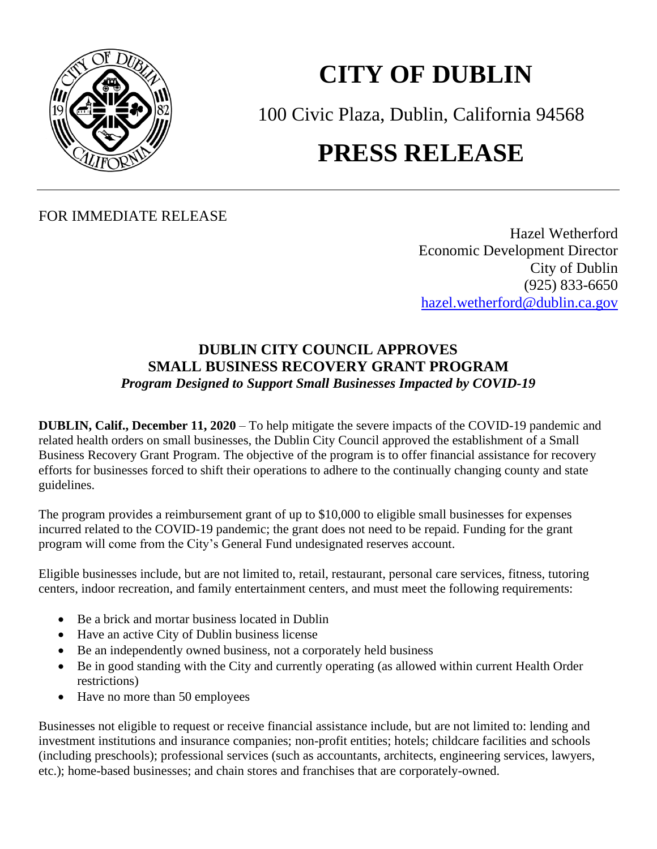

## **CITY OF DUBLIN**

100 Civic Plaza, Dublin, California 94568

## **PRESS RELEASE**

FOR IMMEDIATE RELEASE

Hazel Wetherford Economic Development Director City of Dublin (925) 833-6650 [hazel.wetherford@dublin.ca.gov](mailto:hazel.wetherford@dublin.ca.gov)

## **DUBLIN CITY COUNCIL APPROVES SMALL BUSINESS RECOVERY GRANT PROGRAM** *Program Designed to Support Small Businesses Impacted by COVID-19*

**DUBLIN, Calif., December 11, 2020** – To help mitigate the severe impacts of the COVID-19 pandemic and related health orders on small businesses, the Dublin City Council approved the establishment of a Small Business Recovery Grant Program. The objective of the program is to offer financial assistance for recovery efforts for businesses forced to shift their operations to adhere to the continually changing county and state guidelines.

The program provides a reimbursement grant of up to \$10,000 to eligible small businesses for expenses incurred related to the COVID-19 pandemic; the grant does not need to be repaid. Funding for the grant program will come from the City's General Fund undesignated reserves account.

Eligible businesses include, but are not limited to, retail, restaurant, personal care services, fitness, tutoring centers, indoor recreation, and family entertainment centers, and must meet the following requirements:

- Be a brick and mortar business located in Dublin
- Have an active City of Dublin business license
- Be an independently owned business, not a corporately held business
- Be in good standing with the City and currently operating (as allowed within current Health Order restrictions)
- Have no more than 50 employees

Businesses not eligible to request or receive financial assistance include, but are not limited to: lending and investment institutions and insurance companies; non-profit entities; hotels; childcare facilities and schools (including preschools); professional services (such as accountants, architects, engineering services, lawyers, etc.); home-based businesses; and chain stores and franchises that are corporately-owned.